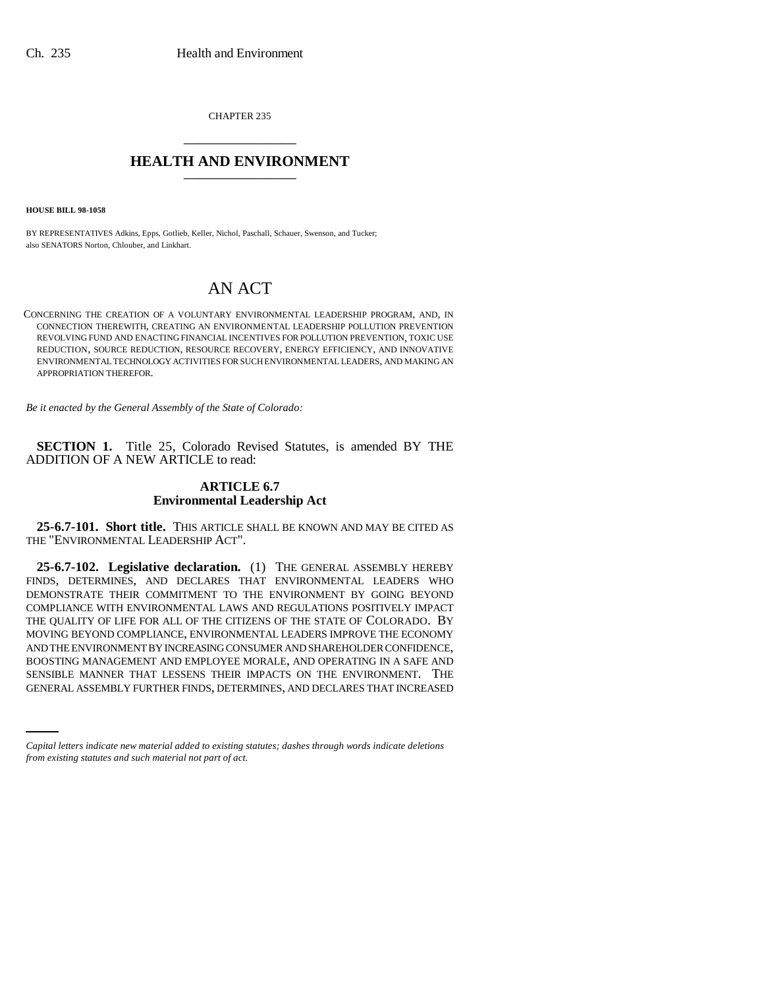CHAPTER 235 \_\_\_\_\_\_\_\_\_\_\_\_\_\_\_

## **HEALTH AND ENVIRONMENT** \_\_\_\_\_\_\_\_\_\_\_\_\_\_\_

**HOUSE BILL 98-1058**

BY REPRESENTATIVES Adkins, Epps, Gotlieb, Keller, Nichol, Paschall, Schauer, Swenson, and Tucker; also SENATORS Norton, Chlouber, and Linkhart.

# AN ACT

CONCERNING THE CREATION OF A VOLUNTARY ENVIRONMENTAL LEADERSHIP PROGRAM, AND, IN CONNECTION THEREWITH, CREATING AN ENVIRONMENTAL LEADERSHIP POLLUTION PREVENTION REVOLVING FUND AND ENACTING FINANCIAL INCENTIVES FOR POLLUTION PREVENTION, TOXIC USE REDUCTION, SOURCE REDUCTION, RESOURCE RECOVERY, ENERGY EFFICIENCY, AND INNOVATIVE ENVIRONMENTAL TECHNOLOGY ACTIVITIES FOR SUCH ENVIRONMENTAL LEADERS, AND MAKING AN APPROPRIATION THEREFOR.

*Be it enacted by the General Assembly of the State of Colorado:*

**SECTION 1.** Title 25, Colorado Revised Statutes, is amended BY THE ADDITION OF A NEW ARTICLE to read:

### **ARTICLE 6.7 Environmental Leadership Act**

**25-6.7-101. Short title.** THIS ARTICLE SHALL BE KNOWN AND MAY BE CITED AS THE "ENVIRONMENTAL LEADERSHIP ACT".

BOOSTING MANAGEMENT AND EMPLOYEE MOKALE, AND OPEKATING IN A SAFE AND<br>SENSIBLE MANNER THAT LESSENS THEIR IMPACTS ON THE ENVIRONMENT. THE **25-6.7-102. Legislative declaration.** (1) THE GENERAL ASSEMBLY HEREBY FINDS, DETERMINES, AND DECLARES THAT ENVIRONMENTAL LEADERS WHO DEMONSTRATE THEIR COMMITMENT TO THE ENVIRONMENT BY GOING BEYOND COMPLIANCE WITH ENVIRONMENTAL LAWS AND REGULATIONS POSITIVELY IMPACT THE QUALITY OF LIFE FOR ALL OF THE CITIZENS OF THE STATE OF COLORADO. BY MOVING BEYOND COMPLIANCE, ENVIRONMENTAL LEADERS IMPROVE THE ECONOMY AND THE ENVIRONMENT BY INCREASING CONSUMER AND SHAREHOLDER CONFIDENCE, BOOSTING MANAGEMENT AND EMPLOYEE MORALE, AND OPERATING IN A SAFE AND GENERAL ASSEMBLY FURTHER FINDS, DETERMINES, AND DECLARES THAT INCREASED

*Capital letters indicate new material added to existing statutes; dashes through words indicate deletions from existing statutes and such material not part of act.*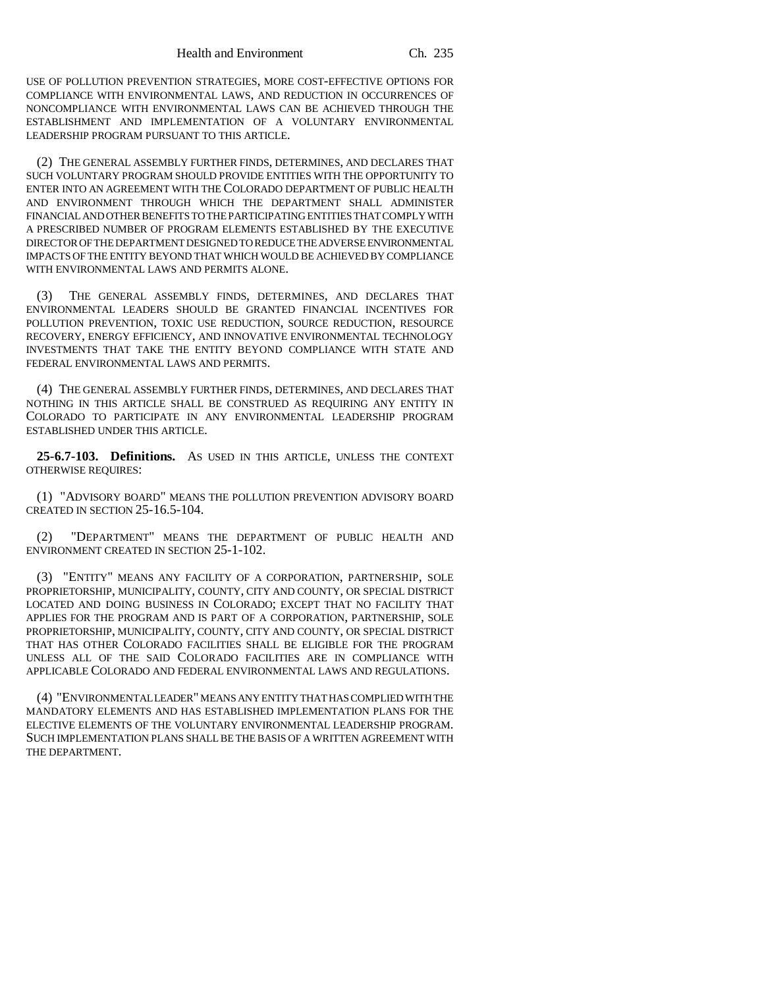USE OF POLLUTION PREVENTION STRATEGIES, MORE COST-EFFECTIVE OPTIONS FOR COMPLIANCE WITH ENVIRONMENTAL LAWS, AND REDUCTION IN OCCURRENCES OF NONCOMPLIANCE WITH ENVIRONMENTAL LAWS CAN BE ACHIEVED THROUGH THE ESTABLISHMENT AND IMPLEMENTATION OF A VOLUNTARY ENVIRONMENTAL LEADERSHIP PROGRAM PURSUANT TO THIS ARTICLE.

(2) THE GENERAL ASSEMBLY FURTHER FINDS, DETERMINES, AND DECLARES THAT SUCH VOLUNTARY PROGRAM SHOULD PROVIDE ENTITIES WITH THE OPPORTUNITY TO ENTER INTO AN AGREEMENT WITH THE COLORADO DEPARTMENT OF PUBLIC HEALTH AND ENVIRONMENT THROUGH WHICH THE DEPARTMENT SHALL ADMINISTER FINANCIAL AND OTHER BENEFITS TO THE PARTICIPATING ENTITIES THAT COMPLY WITH A PRESCRIBED NUMBER OF PROGRAM ELEMENTS ESTABLISHED BY THE EXECUTIVE DIRECTOR OF THE DEPARTMENT DESIGNED TO REDUCE THE ADVERSE ENVIRONMENTAL IMPACTS OF THE ENTITY BEYOND THAT WHICH WOULD BE ACHIEVED BY COMPLIANCE WITH ENVIRONMENTAL LAWS AND PERMITS ALONE.

(3) THE GENERAL ASSEMBLY FINDS, DETERMINES, AND DECLARES THAT ENVIRONMENTAL LEADERS SHOULD BE GRANTED FINANCIAL INCENTIVES FOR POLLUTION PREVENTION, TOXIC USE REDUCTION, SOURCE REDUCTION, RESOURCE RECOVERY, ENERGY EFFICIENCY, AND INNOVATIVE ENVIRONMENTAL TECHNOLOGY INVESTMENTS THAT TAKE THE ENTITY BEYOND COMPLIANCE WITH STATE AND FEDERAL ENVIRONMENTAL LAWS AND PERMITS.

(4) THE GENERAL ASSEMBLY FURTHER FINDS, DETERMINES, AND DECLARES THAT NOTHING IN THIS ARTICLE SHALL BE CONSTRUED AS REQUIRING ANY ENTITY IN COLORADO TO PARTICIPATE IN ANY ENVIRONMENTAL LEADERSHIP PROGRAM ESTABLISHED UNDER THIS ARTICLE.

**25-6.7-103. Definitions.** AS USED IN THIS ARTICLE, UNLESS THE CONTEXT OTHERWISE REQUIRES:

(1) "ADVISORY BOARD" MEANS THE POLLUTION PREVENTION ADVISORY BOARD CREATED IN SECTION 25-16.5-104.

(2) "DEPARTMENT" MEANS THE DEPARTMENT OF PUBLIC HEALTH AND ENVIRONMENT CREATED IN SECTION 25-1-102.

(3) "ENTITY" MEANS ANY FACILITY OF A CORPORATION, PARTNERSHIP, SOLE PROPRIETORSHIP, MUNICIPALITY, COUNTY, CITY AND COUNTY, OR SPECIAL DISTRICT LOCATED AND DOING BUSINESS IN COLORADO; EXCEPT THAT NO FACILITY THAT APPLIES FOR THE PROGRAM AND IS PART OF A CORPORATION, PARTNERSHIP, SOLE PROPRIETORSHIP, MUNICIPALITY, COUNTY, CITY AND COUNTY, OR SPECIAL DISTRICT THAT HAS OTHER COLORADO FACILITIES SHALL BE ELIGIBLE FOR THE PROGRAM UNLESS ALL OF THE SAID COLORADO FACILITIES ARE IN COMPLIANCE WITH APPLICABLE COLORADO AND FEDERAL ENVIRONMENTAL LAWS AND REGULATIONS.

(4) "ENVIRONMENTAL LEADER" MEANS ANY ENTITY THAT HAS COMPLIED WITH THE MANDATORY ELEMENTS AND HAS ESTABLISHED IMPLEMENTATION PLANS FOR THE ELECTIVE ELEMENTS OF THE VOLUNTARY ENVIRONMENTAL LEADERSHIP PROGRAM. SUCH IMPLEMENTATION PLANS SHALL BE THE BASIS OF A WRITTEN AGREEMENT WITH THE DEPARTMENT.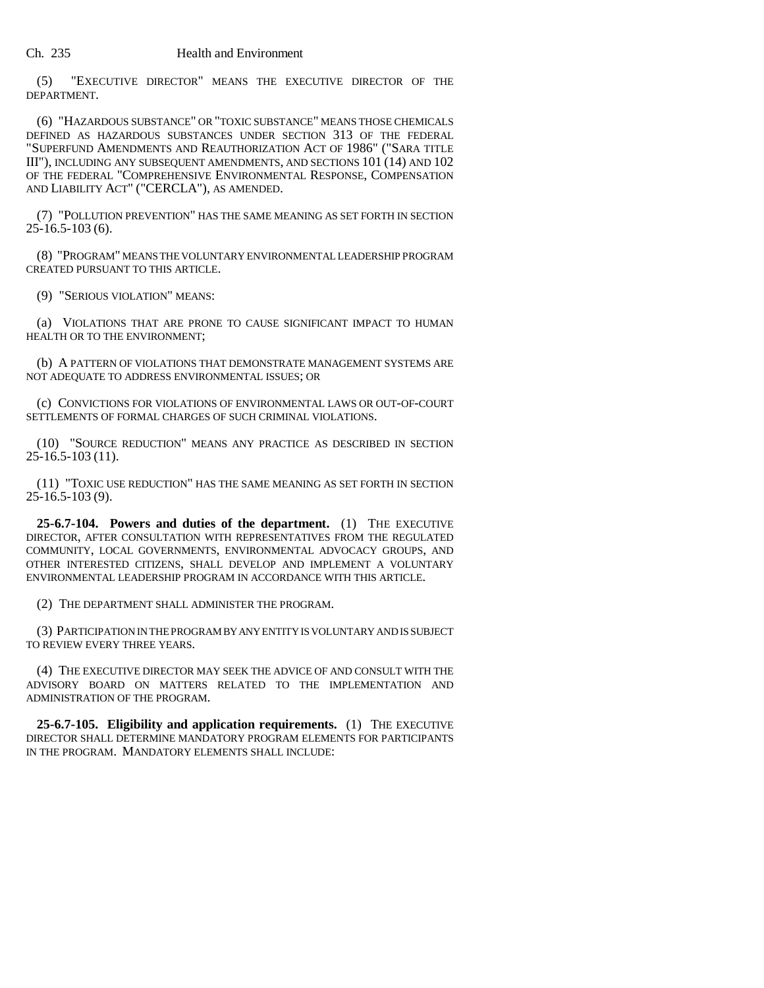#### Ch. 235 Health and Environment

(5) "EXECUTIVE DIRECTOR" MEANS THE EXECUTIVE DIRECTOR OF THE DEPARTMENT.

(6) "HAZARDOUS SUBSTANCE" OR "TOXIC SUBSTANCE" MEANS THOSE CHEMICALS DEFINED AS HAZARDOUS SUBSTANCES UNDER SECTION 313 OF THE FEDERAL "SUPERFUND AMENDMENTS AND REAUTHORIZATION ACT OF 1986" ("SARA TITLE III"), INCLUDING ANY SUBSEQUENT AMENDMENTS, AND SECTIONS 101 (14) AND 102 OF THE FEDERAL "COMPREHENSIVE ENVIRONMENTAL RESPONSE, COMPENSATION AND LIABILITY ACT" ("CERCLA"), AS AMENDED.

(7) "POLLUTION PREVENTION" HAS THE SAME MEANING AS SET FORTH IN SECTION 25-16.5-103 (6).

(8) "PROGRAM" MEANS THE VOLUNTARY ENVIRONMENTAL LEADERSHIP PROGRAM CREATED PURSUANT TO THIS ARTICLE.

(9) "SERIOUS VIOLATION" MEANS:

(a) VIOLATIONS THAT ARE PRONE TO CAUSE SIGNIFICANT IMPACT TO HUMAN HEALTH OR TO THE ENVIRONMENT;

(b) A PATTERN OF VIOLATIONS THAT DEMONSTRATE MANAGEMENT SYSTEMS ARE NOT ADEQUATE TO ADDRESS ENVIRONMENTAL ISSUES; OR

(c) CONVICTIONS FOR VIOLATIONS OF ENVIRONMENTAL LAWS OR OUT-OF-COURT SETTLEMENTS OF FORMAL CHARGES OF SUCH CRIMINAL VIOLATIONS.

(10) "SOURCE REDUCTION" MEANS ANY PRACTICE AS DESCRIBED IN SECTION 25-16.5-103 (11).

(11) "TOXIC USE REDUCTION" HAS THE SAME MEANING AS SET FORTH IN SECTION  $25-16.5-103(9)$ .

**25-6.7-104. Powers and duties of the department.** (1) THE EXECUTIVE DIRECTOR, AFTER CONSULTATION WITH REPRESENTATIVES FROM THE REGULATED COMMUNITY, LOCAL GOVERNMENTS, ENVIRONMENTAL ADVOCACY GROUPS, AND OTHER INTERESTED CITIZENS, SHALL DEVELOP AND IMPLEMENT A VOLUNTARY ENVIRONMENTAL LEADERSHIP PROGRAM IN ACCORDANCE WITH THIS ARTICLE.

(2) THE DEPARTMENT SHALL ADMINISTER THE PROGRAM.

(3) PARTICIPATION IN THE PROGRAM BY ANY ENTITY IS VOLUNTARY AND IS SUBJECT TO REVIEW EVERY THREE YEARS.

(4) THE EXECUTIVE DIRECTOR MAY SEEK THE ADVICE OF AND CONSULT WITH THE ADVISORY BOARD ON MATTERS RELATED TO THE IMPLEMENTATION AND ADMINISTRATION OF THE PROGRAM.

**25-6.7-105. Eligibility and application requirements.** (1) THE EXECUTIVE DIRECTOR SHALL DETERMINE MANDATORY PROGRAM ELEMENTS FOR PARTICIPANTS IN THE PROGRAM. MANDATORY ELEMENTS SHALL INCLUDE: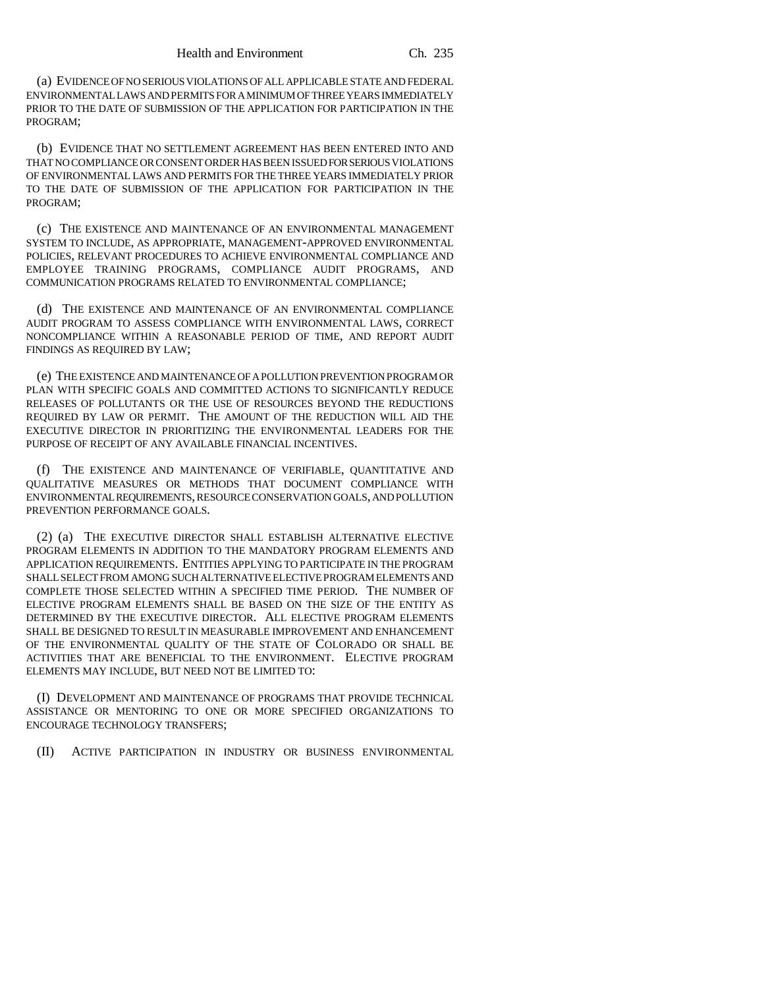(a) EVIDENCE OF NO SERIOUS VIOLATIONS OF ALL APPLICABLE STATE AND FEDERAL ENVIRONMENTAL LAWS AND PERMITS FOR A MINIMUM OF THREE YEARS IMMEDIATELY PRIOR TO THE DATE OF SUBMISSION OF THE APPLICATION FOR PARTICIPATION IN THE PROGRAM;

(b) EVIDENCE THAT NO SETTLEMENT AGREEMENT HAS BEEN ENTERED INTO AND THAT NO COMPLIANCE OR CONSENT ORDER HAS BEEN ISSUED FOR SERIOUS VIOLATIONS OF ENVIRONMENTAL LAWS AND PERMITS FOR THE THREE YEARS IMMEDIATELY PRIOR TO THE DATE OF SUBMISSION OF THE APPLICATION FOR PARTICIPATION IN THE PROGRAM;

(c) THE EXISTENCE AND MAINTENANCE OF AN ENVIRONMENTAL MANAGEMENT SYSTEM TO INCLUDE, AS APPROPRIATE, MANAGEMENT-APPROVED ENVIRONMENTAL POLICIES, RELEVANT PROCEDURES TO ACHIEVE ENVIRONMENTAL COMPLIANCE AND EMPLOYEE TRAINING PROGRAMS, COMPLIANCE AUDIT PROGRAMS, AND COMMUNICATION PROGRAMS RELATED TO ENVIRONMENTAL COMPLIANCE;

(d) THE EXISTENCE AND MAINTENANCE OF AN ENVIRONMENTAL COMPLIANCE AUDIT PROGRAM TO ASSESS COMPLIANCE WITH ENVIRONMENTAL LAWS, CORRECT NONCOMPLIANCE WITHIN A REASONABLE PERIOD OF TIME, AND REPORT AUDIT FINDINGS AS REQUIRED BY LAW;

(e) THE EXISTENCE AND MAINTENANCE OF A POLLUTION PREVENTION PROGRAM OR PLAN WITH SPECIFIC GOALS AND COMMITTED ACTIONS TO SIGNIFICANTLY REDUCE RELEASES OF POLLUTANTS OR THE USE OF RESOURCES BEYOND THE REDUCTIONS REQUIRED BY LAW OR PERMIT. THE AMOUNT OF THE REDUCTION WILL AID THE EXECUTIVE DIRECTOR IN PRIORITIZING THE ENVIRONMENTAL LEADERS FOR THE PURPOSE OF RECEIPT OF ANY AVAILABLE FINANCIAL INCENTIVES.

(f) THE EXISTENCE AND MAINTENANCE OF VERIFIABLE, QUANTITATIVE AND QUALITATIVE MEASURES OR METHODS THAT DOCUMENT COMPLIANCE WITH ENVIRONMENTAL REQUIREMENTS, RESOURCE CONSERVATION GOALS, AND POLLUTION PREVENTION PERFORMANCE GOALS.

(2) (a) THE EXECUTIVE DIRECTOR SHALL ESTABLISH ALTERNATIVE ELECTIVE PROGRAM ELEMENTS IN ADDITION TO THE MANDATORY PROGRAM ELEMENTS AND APPLICATION REQUIREMENTS. ENTITIES APPLYING TO PARTICIPATE IN THE PROGRAM SHALL SELECT FROM AMONG SUCH ALTERNATIVE ELECTIVE PROGRAM ELEMENTS AND COMPLETE THOSE SELECTED WITHIN A SPECIFIED TIME PERIOD. THE NUMBER OF ELECTIVE PROGRAM ELEMENTS SHALL BE BASED ON THE SIZE OF THE ENTITY AS DETERMINED BY THE EXECUTIVE DIRECTOR. ALL ELECTIVE PROGRAM ELEMENTS SHALL BE DESIGNED TO RESULT IN MEASURABLE IMPROVEMENT AND ENHANCEMENT OF THE ENVIRONMENTAL QUALITY OF THE STATE OF COLORADO OR SHALL BE ACTIVITIES THAT ARE BENEFICIAL TO THE ENVIRONMENT. ELECTIVE PROGRAM ELEMENTS MAY INCLUDE, BUT NEED NOT BE LIMITED TO:

(I) DEVELOPMENT AND MAINTENANCE OF PROGRAMS THAT PROVIDE TECHNICAL ASSISTANCE OR MENTORING TO ONE OR MORE SPECIFIED ORGANIZATIONS TO ENCOURAGE TECHNOLOGY TRANSFERS;

(II) ACTIVE PARTICIPATION IN INDUSTRY OR BUSINESS ENVIRONMENTAL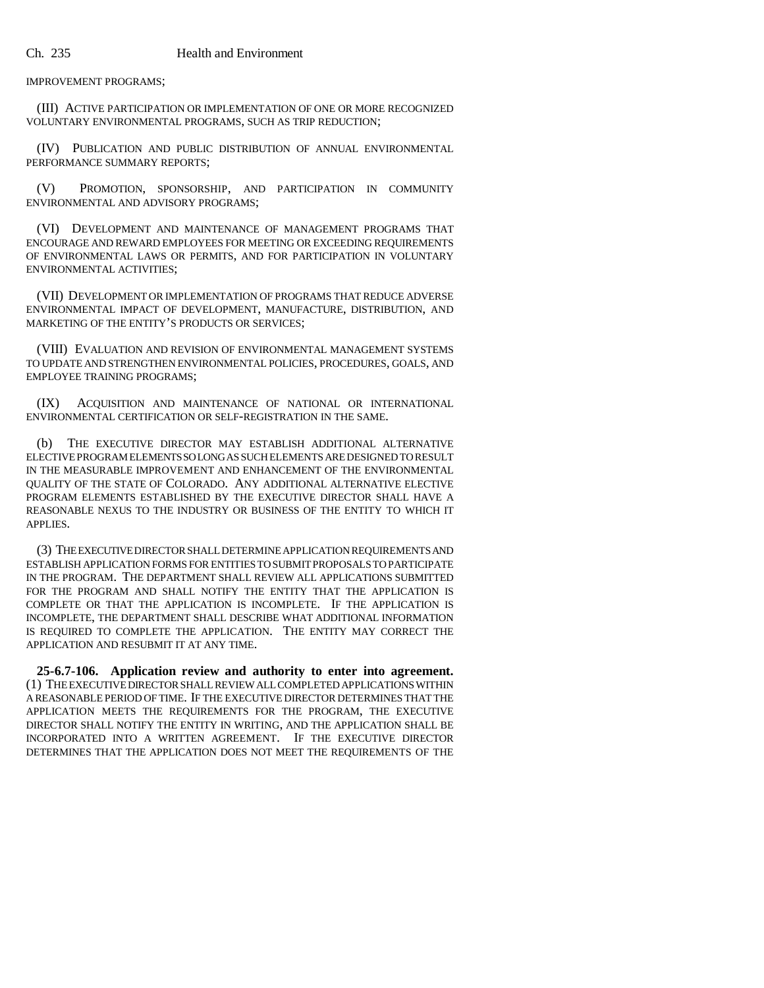IMPROVEMENT PROGRAMS;

(III) ACTIVE PARTICIPATION OR IMPLEMENTATION OF ONE OR MORE RECOGNIZED VOLUNTARY ENVIRONMENTAL PROGRAMS, SUCH AS TRIP REDUCTION;

(IV) PUBLICATION AND PUBLIC DISTRIBUTION OF ANNUAL ENVIRONMENTAL PERFORMANCE SUMMARY REPORTS;

(V) PROMOTION, SPONSORSHIP, AND PARTICIPATION IN COMMUNITY ENVIRONMENTAL AND ADVISORY PROGRAMS;

(VI) DEVELOPMENT AND MAINTENANCE OF MANAGEMENT PROGRAMS THAT ENCOURAGE AND REWARD EMPLOYEES FOR MEETING OR EXCEEDING REQUIREMENTS OF ENVIRONMENTAL LAWS OR PERMITS, AND FOR PARTICIPATION IN VOLUNTARY ENVIRONMENTAL ACTIVITIES;

(VII) DEVELOPMENT OR IMPLEMENTATION OF PROGRAMS THAT REDUCE ADVERSE ENVIRONMENTAL IMPACT OF DEVELOPMENT, MANUFACTURE, DISTRIBUTION, AND MARKETING OF THE ENTITY'S PRODUCTS OR SERVICES;

(VIII) EVALUATION AND REVISION OF ENVIRONMENTAL MANAGEMENT SYSTEMS TO UPDATE AND STRENGTHEN ENVIRONMENTAL POLICIES, PROCEDURES, GOALS, AND EMPLOYEE TRAINING PROGRAMS;

(IX) ACQUISITION AND MAINTENANCE OF NATIONAL OR INTERNATIONAL ENVIRONMENTAL CERTIFICATION OR SELF-REGISTRATION IN THE SAME.

(b) THE EXECUTIVE DIRECTOR MAY ESTABLISH ADDITIONAL ALTERNATIVE ELECTIVE PROGRAM ELEMENTS SO LONG AS SUCH ELEMENTS ARE DESIGNED TO RESULT IN THE MEASURABLE IMPROVEMENT AND ENHANCEMENT OF THE ENVIRONMENTAL QUALITY OF THE STATE OF COLORADO. ANY ADDITIONAL ALTERNATIVE ELECTIVE PROGRAM ELEMENTS ESTABLISHED BY THE EXECUTIVE DIRECTOR SHALL HAVE A REASONABLE NEXUS TO THE INDUSTRY OR BUSINESS OF THE ENTITY TO WHICH IT APPLIES.

(3) THE EXECUTIVE DIRECTOR SHALL DETERMINE APPLICATION REQUIREMENTS AND ESTABLISH APPLICATION FORMS FOR ENTITIES TO SUBMIT PROPOSALS TO PARTICIPATE IN THE PROGRAM. THE DEPARTMENT SHALL REVIEW ALL APPLICATIONS SUBMITTED FOR THE PROGRAM AND SHALL NOTIFY THE ENTITY THAT THE APPLICATION IS COMPLETE OR THAT THE APPLICATION IS INCOMPLETE. IF THE APPLICATION IS INCOMPLETE, THE DEPARTMENT SHALL DESCRIBE WHAT ADDITIONAL INFORMATION IS REQUIRED TO COMPLETE THE APPLICATION. THE ENTITY MAY CORRECT THE APPLICATION AND RESUBMIT IT AT ANY TIME.

**25-6.7-106. Application review and authority to enter into agreement.** (1) THE EXECUTIVE DIRECTOR SHALL REVIEW ALL COMPLETED APPLICATIONS WITHIN A REASONABLE PERIOD OF TIME. IF THE EXECUTIVE DIRECTOR DETERMINES THAT THE APPLICATION MEETS THE REQUIREMENTS FOR THE PROGRAM, THE EXECUTIVE DIRECTOR SHALL NOTIFY THE ENTITY IN WRITING, AND THE APPLICATION SHALL BE INCORPORATED INTO A WRITTEN AGREEMENT. IF THE EXECUTIVE DIRECTOR DETERMINES THAT THE APPLICATION DOES NOT MEET THE REQUIREMENTS OF THE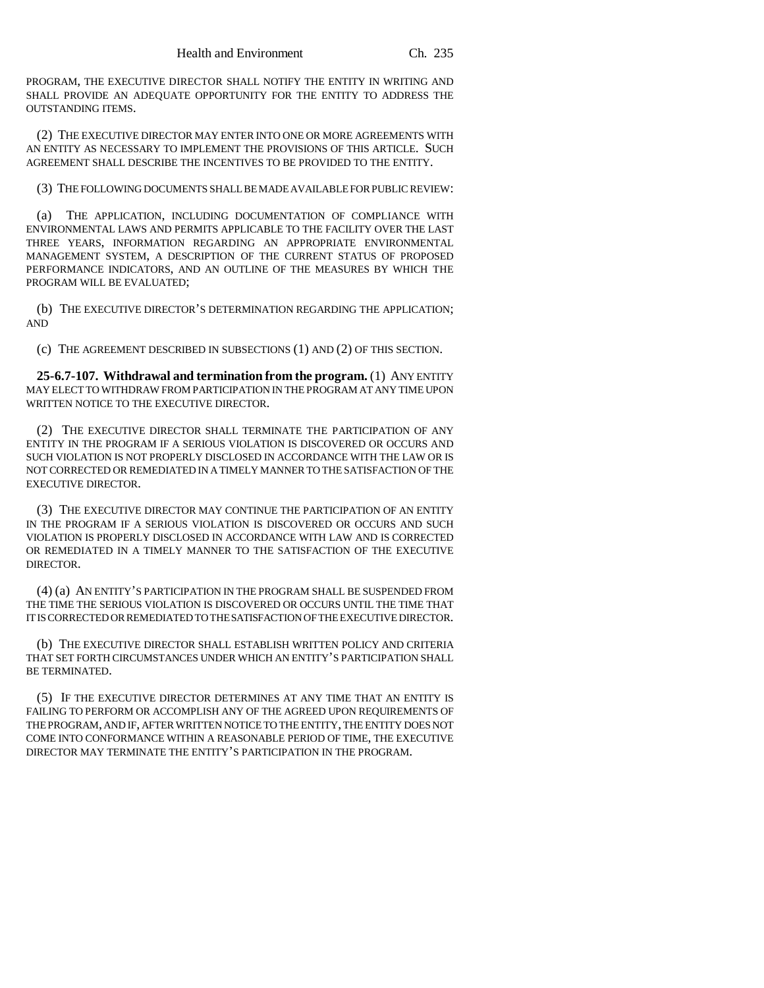PROGRAM, THE EXECUTIVE DIRECTOR SHALL NOTIFY THE ENTITY IN WRITING AND SHALL PROVIDE AN ADEQUATE OPPORTUNITY FOR THE ENTITY TO ADDRESS THE OUTSTANDING ITEMS.

(2) THE EXECUTIVE DIRECTOR MAY ENTER INTO ONE OR MORE AGREEMENTS WITH AN ENTITY AS NECESSARY TO IMPLEMENT THE PROVISIONS OF THIS ARTICLE. SUCH AGREEMENT SHALL DESCRIBE THE INCENTIVES TO BE PROVIDED TO THE ENTITY.

(3) THE FOLLOWING DOCUMENTS SHALL BE MADE AVAILABLE FOR PUBLIC REVIEW:

(a) THE APPLICATION, INCLUDING DOCUMENTATION OF COMPLIANCE WITH ENVIRONMENTAL LAWS AND PERMITS APPLICABLE TO THE FACILITY OVER THE LAST THREE YEARS, INFORMATION REGARDING AN APPROPRIATE ENVIRONMENTAL MANAGEMENT SYSTEM, A DESCRIPTION OF THE CURRENT STATUS OF PROPOSED PERFORMANCE INDICATORS, AND AN OUTLINE OF THE MEASURES BY WHICH THE PROGRAM WILL BE EVALUATED;

(b) THE EXECUTIVE DIRECTOR'S DETERMINATION REGARDING THE APPLICATION; AND

(c) THE AGREEMENT DESCRIBED IN SUBSECTIONS (1) AND (2) OF THIS SECTION.

**25-6.7-107. Withdrawal and termination from the program.** (1) ANY ENTITY MAY ELECT TO WITHDRAW FROM PARTICIPATION IN THE PROGRAM AT ANY TIME UPON WRITTEN NOTICE TO THE EXECUTIVE DIRECTOR.

(2) THE EXECUTIVE DIRECTOR SHALL TERMINATE THE PARTICIPATION OF ANY ENTITY IN THE PROGRAM IF A SERIOUS VIOLATION IS DISCOVERED OR OCCURS AND SUCH VIOLATION IS NOT PROPERLY DISCLOSED IN ACCORDANCE WITH THE LAW OR IS NOT CORRECTED OR REMEDIATED IN A TIMELY MANNER TO THE SATISFACTION OF THE EXECUTIVE DIRECTOR.

(3) THE EXECUTIVE DIRECTOR MAY CONTINUE THE PARTICIPATION OF AN ENTITY IN THE PROGRAM IF A SERIOUS VIOLATION IS DISCOVERED OR OCCURS AND SUCH VIOLATION IS PROPERLY DISCLOSED IN ACCORDANCE WITH LAW AND IS CORRECTED OR REMEDIATED IN A TIMELY MANNER TO THE SATISFACTION OF THE EXECUTIVE DIRECTOR.

(4) (a) AN ENTITY'S PARTICIPATION IN THE PROGRAM SHALL BE SUSPENDED FROM THE TIME THE SERIOUS VIOLATION IS DISCOVERED OR OCCURS UNTIL THE TIME THAT IT IS CORRECTED OR REMEDIATED TO THE SATISFACTION OF THE EXECUTIVE DIRECTOR.

(b) THE EXECUTIVE DIRECTOR SHALL ESTABLISH WRITTEN POLICY AND CRITERIA THAT SET FORTH CIRCUMSTANCES UNDER WHICH AN ENTITY'S PARTICIPATION SHALL BE TERMINATED.

(5) IF THE EXECUTIVE DIRECTOR DETERMINES AT ANY TIME THAT AN ENTITY IS FAILING TO PERFORM OR ACCOMPLISH ANY OF THE AGREED UPON REQUIREMENTS OF THE PROGRAM, AND IF, AFTER WRITTEN NOTICE TO THE ENTITY, THE ENTITY DOES NOT COME INTO CONFORMANCE WITHIN A REASONABLE PERIOD OF TIME, THE EXECUTIVE DIRECTOR MAY TERMINATE THE ENTITY'S PARTICIPATION IN THE PROGRAM.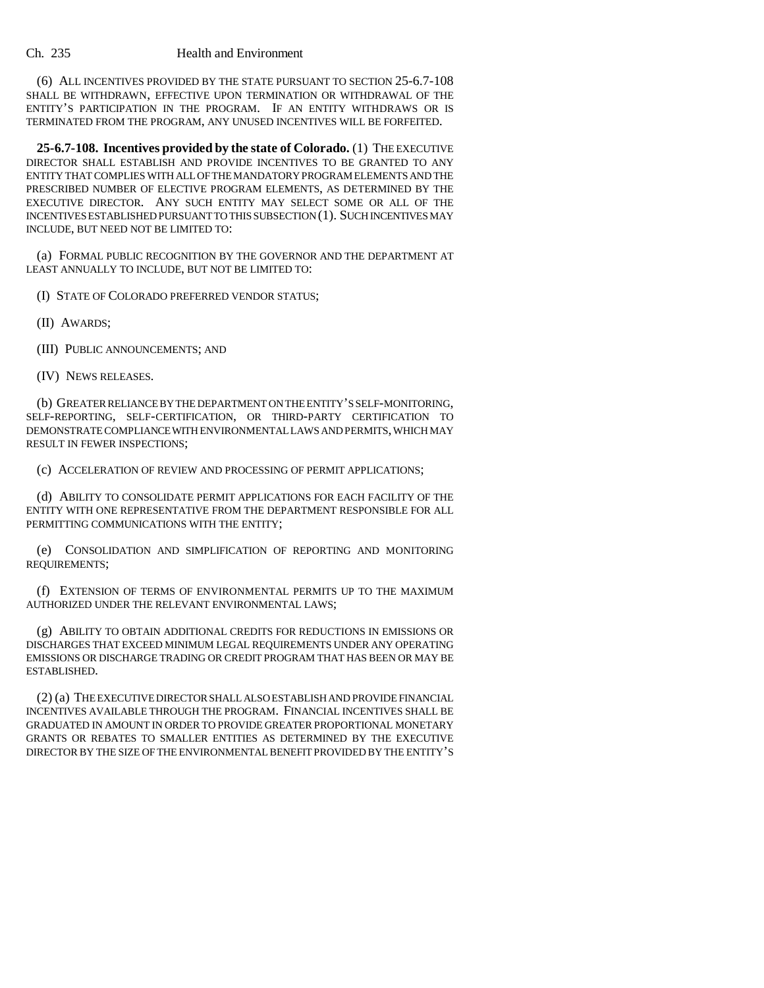#### Ch. 235 Health and Environment

(6) ALL INCENTIVES PROVIDED BY THE STATE PURSUANT TO SECTION 25-6.7-108 SHALL BE WITHDRAWN, EFFECTIVE UPON TERMINATION OR WITHDRAWAL OF THE ENTITY'S PARTICIPATION IN THE PROGRAM. IF AN ENTITY WITHDRAWS OR IS TERMINATED FROM THE PROGRAM, ANY UNUSED INCENTIVES WILL BE FORFEITED.

**25-6.7-108. Incentives provided by the state of Colorado.** (1) THE EXECUTIVE DIRECTOR SHALL ESTABLISH AND PROVIDE INCENTIVES TO BE GRANTED TO ANY ENTITY THAT COMPLIES WITH ALL OF THE MANDATORY PROGRAM ELEMENTS AND THE PRESCRIBED NUMBER OF ELECTIVE PROGRAM ELEMENTS, AS DETERMINED BY THE EXECUTIVE DIRECTOR. ANY SUCH ENTITY MAY SELECT SOME OR ALL OF THE INCENTIVES ESTABLISHED PURSUANT TO THIS SUBSECTION (1). SUCH INCENTIVES MAY INCLUDE, BUT NEED NOT BE LIMITED TO:

(a) FORMAL PUBLIC RECOGNITION BY THE GOVERNOR AND THE DEPARTMENT AT LEAST ANNUALLY TO INCLUDE, BUT NOT BE LIMITED TO:

(I) STATE OF COLORADO PREFERRED VENDOR STATUS;

(II) AWARDS;

(III) PUBLIC ANNOUNCEMENTS; AND

(IV) NEWS RELEASES.

(b) GREATER RELIANCE BY THE DEPARTMENT ON THE ENTITY'S SELF-MONITORING, SELF-REPORTING, SELF-CERTIFICATION, OR THIRD-PARTY CERTIFICATION TO DEMONSTRATE COMPLIANCE WITH ENVIRONMENTAL LAWS AND PERMITS, WHICH MAY RESULT IN FEWER INSPECTIONS;

(c) ACCELERATION OF REVIEW AND PROCESSING OF PERMIT APPLICATIONS;

(d) ABILITY TO CONSOLIDATE PERMIT APPLICATIONS FOR EACH FACILITY OF THE ENTITY WITH ONE REPRESENTATIVE FROM THE DEPARTMENT RESPONSIBLE FOR ALL PERMITTING COMMUNICATIONS WITH THE ENTITY;

(e) CONSOLIDATION AND SIMPLIFICATION OF REPORTING AND MONITORING REQUIREMENTS;

(f) EXTENSION OF TERMS OF ENVIRONMENTAL PERMITS UP TO THE MAXIMUM AUTHORIZED UNDER THE RELEVANT ENVIRONMENTAL LAWS;

(g) ABILITY TO OBTAIN ADDITIONAL CREDITS FOR REDUCTIONS IN EMISSIONS OR DISCHARGES THAT EXCEED MINIMUM LEGAL REQUIREMENTS UNDER ANY OPERATING EMISSIONS OR DISCHARGE TRADING OR CREDIT PROGRAM THAT HAS BEEN OR MAY BE ESTABLISHED.

(2) (a) THE EXECUTIVE DIRECTOR SHALL ALSO ESTABLISH AND PROVIDE FINANCIAL INCENTIVES AVAILABLE THROUGH THE PROGRAM. FINANCIAL INCENTIVES SHALL BE GRADUATED IN AMOUNT IN ORDER TO PROVIDE GREATER PROPORTIONAL MONETARY GRANTS OR REBATES TO SMALLER ENTITIES AS DETERMINED BY THE EXECUTIVE DIRECTOR BY THE SIZE OF THE ENVIRONMENTAL BENEFIT PROVIDED BY THE ENTITY'S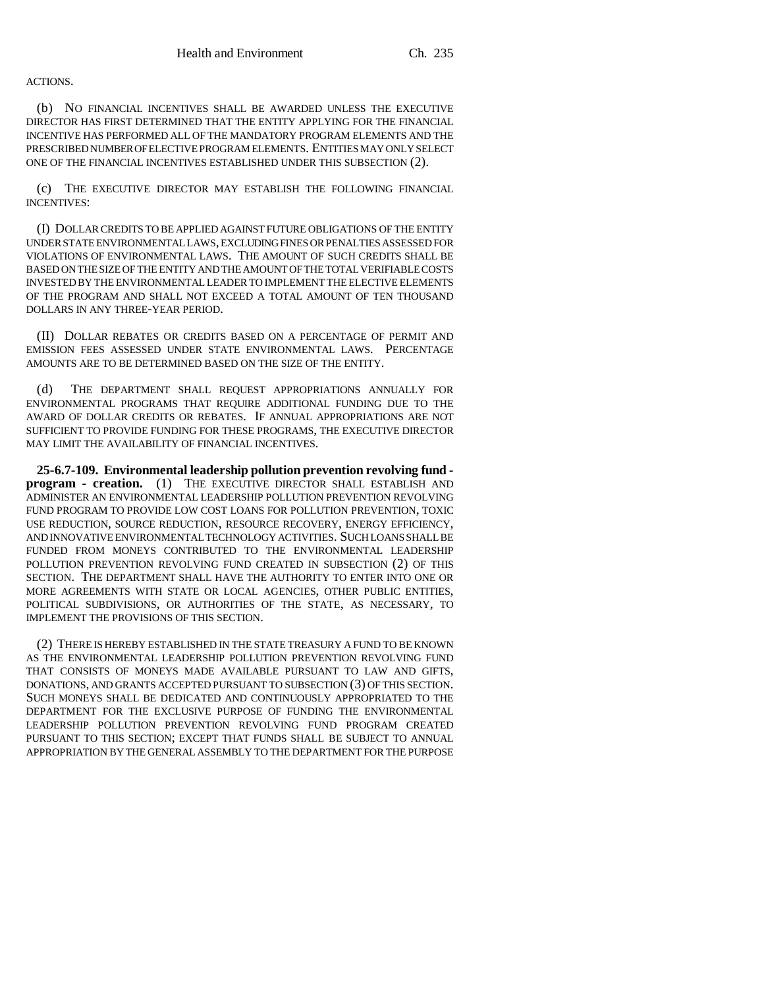#### ACTIONS.

(b) NO FINANCIAL INCENTIVES SHALL BE AWARDED UNLESS THE EXECUTIVE DIRECTOR HAS FIRST DETERMINED THAT THE ENTITY APPLYING FOR THE FINANCIAL INCENTIVE HAS PERFORMED ALL OF THE MANDATORY PROGRAM ELEMENTS AND THE PRESCRIBED NUMBER OF ELECTIVE PROGRAM ELEMENTS. ENTITIES MAY ONLY SELECT ONE OF THE FINANCIAL INCENTIVES ESTABLISHED UNDER THIS SUBSECTION (2).

(c) THE EXECUTIVE DIRECTOR MAY ESTABLISH THE FOLLOWING FINANCIAL INCENTIVES:

(I) DOLLAR CREDITS TO BE APPLIED AGAINST FUTURE OBLIGATIONS OF THE ENTITY UNDER STATE ENVIRONMENTAL LAWS, EXCLUDING FINES OR PENALTIES ASSESSED FOR VIOLATIONS OF ENVIRONMENTAL LAWS. THE AMOUNT OF SUCH CREDITS SHALL BE BASED ON THE SIZE OF THE ENTITY AND THE AMOUNT OF THE TOTAL VERIFIABLE COSTS INVESTED BY THE ENVIRONMENTAL LEADER TO IMPLEMENT THE ELECTIVE ELEMENTS OF THE PROGRAM AND SHALL NOT EXCEED A TOTAL AMOUNT OF TEN THOUSAND DOLLARS IN ANY THREE-YEAR PERIOD.

(II) DOLLAR REBATES OR CREDITS BASED ON A PERCENTAGE OF PERMIT AND EMISSION FEES ASSESSED UNDER STATE ENVIRONMENTAL LAWS. PERCENTAGE AMOUNTS ARE TO BE DETERMINED BASED ON THE SIZE OF THE ENTITY.

(d) THE DEPARTMENT SHALL REQUEST APPROPRIATIONS ANNUALLY FOR ENVIRONMENTAL PROGRAMS THAT REQUIRE ADDITIONAL FUNDING DUE TO THE AWARD OF DOLLAR CREDITS OR REBATES. IF ANNUAL APPROPRIATIONS ARE NOT SUFFICIENT TO PROVIDE FUNDING FOR THESE PROGRAMS, THE EXECUTIVE DIRECTOR MAY LIMIT THE AVAILABILITY OF FINANCIAL INCENTIVES.

**25-6.7-109. Environmental leadership pollution prevention revolving fund program - creation.** (1) THE EXECUTIVE DIRECTOR SHALL ESTABLISH AND ADMINISTER AN ENVIRONMENTAL LEADERSHIP POLLUTION PREVENTION REVOLVING FUND PROGRAM TO PROVIDE LOW COST LOANS FOR POLLUTION PREVENTION, TOXIC USE REDUCTION, SOURCE REDUCTION, RESOURCE RECOVERY, ENERGY EFFICIENCY, AND INNOVATIVE ENVIRONMENTAL TECHNOLOGY ACTIVITIES. SUCH LOANS SHALL BE FUNDED FROM MONEYS CONTRIBUTED TO THE ENVIRONMENTAL LEADERSHIP POLLUTION PREVENTION REVOLVING FUND CREATED IN SUBSECTION (2) OF THIS SECTION. THE DEPARTMENT SHALL HAVE THE AUTHORITY TO ENTER INTO ONE OR MORE AGREEMENTS WITH STATE OR LOCAL AGENCIES, OTHER PUBLIC ENTITIES, POLITICAL SUBDIVISIONS, OR AUTHORITIES OF THE STATE, AS NECESSARY, TO IMPLEMENT THE PROVISIONS OF THIS SECTION.

(2) THERE IS HEREBY ESTABLISHED IN THE STATE TREASURY A FUND TO BE KNOWN AS THE ENVIRONMENTAL LEADERSHIP POLLUTION PREVENTION REVOLVING FUND THAT CONSISTS OF MONEYS MADE AVAILABLE PURSUANT TO LAW AND GIFTS, DONATIONS, AND GRANTS ACCEPTED PURSUANT TO SUBSECTION (3) OF THIS SECTION. SUCH MONEYS SHALL BE DEDICATED AND CONTINUOUSLY APPROPRIATED TO THE DEPARTMENT FOR THE EXCLUSIVE PURPOSE OF FUNDING THE ENVIRONMENTAL LEADERSHIP POLLUTION PREVENTION REVOLVING FUND PROGRAM CREATED PURSUANT TO THIS SECTION; EXCEPT THAT FUNDS SHALL BE SUBJECT TO ANNUAL APPROPRIATION BY THE GENERAL ASSEMBLY TO THE DEPARTMENT FOR THE PURPOSE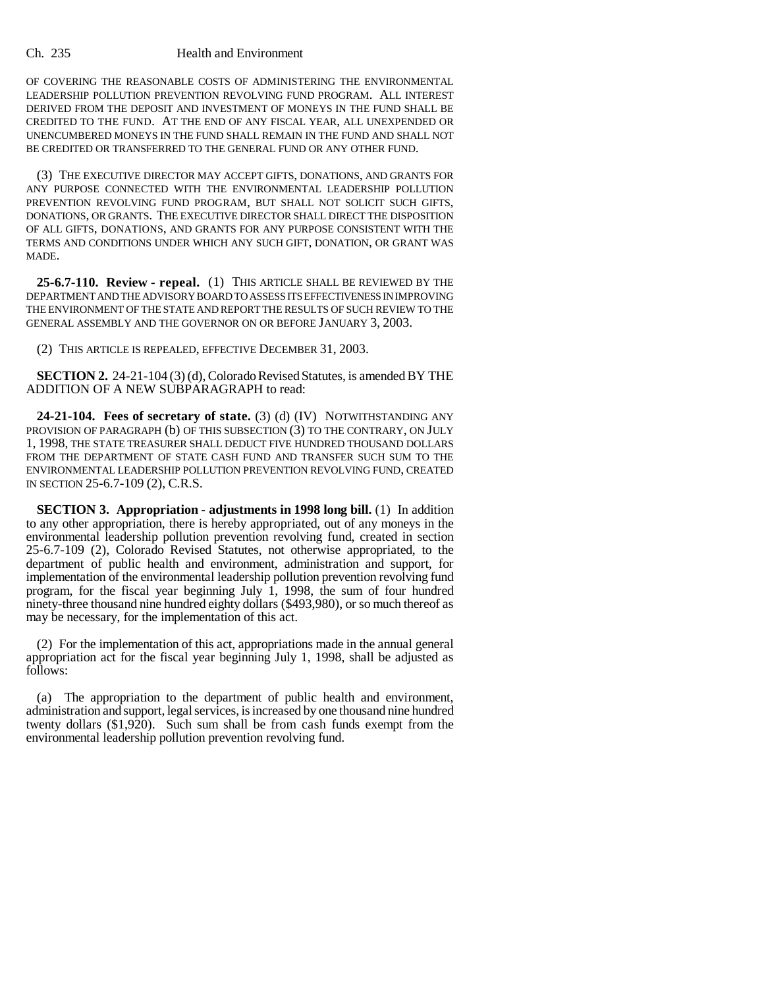#### Ch. 235 Health and Environment

OF COVERING THE REASONABLE COSTS OF ADMINISTERING THE ENVIRONMENTAL LEADERSHIP POLLUTION PREVENTION REVOLVING FUND PROGRAM. ALL INTEREST DERIVED FROM THE DEPOSIT AND INVESTMENT OF MONEYS IN THE FUND SHALL BE CREDITED TO THE FUND. AT THE END OF ANY FISCAL YEAR, ALL UNEXPENDED OR UNENCUMBERED MONEYS IN THE FUND SHALL REMAIN IN THE FUND AND SHALL NOT BE CREDITED OR TRANSFERRED TO THE GENERAL FUND OR ANY OTHER FUND.

(3) THE EXECUTIVE DIRECTOR MAY ACCEPT GIFTS, DONATIONS, AND GRANTS FOR ANY PURPOSE CONNECTED WITH THE ENVIRONMENTAL LEADERSHIP POLLUTION PREVENTION REVOLVING FUND PROGRAM, BUT SHALL NOT SOLICIT SUCH GIFTS, DONATIONS, OR GRANTS. THE EXECUTIVE DIRECTOR SHALL DIRECT THE DISPOSITION OF ALL GIFTS, DONATIONS, AND GRANTS FOR ANY PURPOSE CONSISTENT WITH THE TERMS AND CONDITIONS UNDER WHICH ANY SUCH GIFT, DONATION, OR GRANT WAS MADE.

**25-6.7-110. Review - repeal.** (1) THIS ARTICLE SHALL BE REVIEWED BY THE DEPARTMENT AND THE ADVISORY BOARD TO ASSESS ITS EFFECTIVENESS IN IMPROVING THE ENVIRONMENT OF THE STATE AND REPORT THE RESULTS OF SUCH REVIEW TO THE GENERAL ASSEMBLY AND THE GOVERNOR ON OR BEFORE JANUARY 3, 2003.

(2) THIS ARTICLE IS REPEALED, EFFECTIVE DECEMBER 31, 2003.

**SECTION 2.** 24-21-104 (3) (d), Colorado Revised Statutes, is amended BY THE ADDITION OF A NEW SUBPARAGRAPH to read:

**24-21-104. Fees of secretary of state.** (3) (d) (IV) NOTWITHSTANDING ANY PROVISION OF PARAGRAPH (b) OF THIS SUBSECTION (3) TO THE CONTRARY, ON JULY 1, 1998, THE STATE TREASURER SHALL DEDUCT FIVE HUNDRED THOUSAND DOLLARS FROM THE DEPARTMENT OF STATE CASH FUND AND TRANSFER SUCH SUM TO THE ENVIRONMENTAL LEADERSHIP POLLUTION PREVENTION REVOLVING FUND, CREATED IN SECTION 25-6.7-109 (2), C.R.S.

**SECTION 3. Appropriation - adjustments in 1998 long bill.** (1) In addition to any other appropriation, there is hereby appropriated, out of any moneys in the environmental leadership pollution prevention revolving fund, created in section 25-6.7-109 (2), Colorado Revised Statutes, not otherwise appropriated, to the department of public health and environment, administration and support, for implementation of the environmental leadership pollution prevention revolving fund program, for the fiscal year beginning July 1, 1998, the sum of four hundred ninety-three thousand nine hundred eighty dollars (\$493,980), or so much thereof as may be necessary, for the implementation of this act.

(2) For the implementation of this act, appropriations made in the annual general appropriation act for the fiscal year beginning July 1, 1998, shall be adjusted as follows:

(a) The appropriation to the department of public health and environment, administration and support, legal services, is increased by one thousand nine hundred twenty dollars (\$1,920). Such sum shall be from cash funds exempt from the environmental leadership pollution prevention revolving fund.